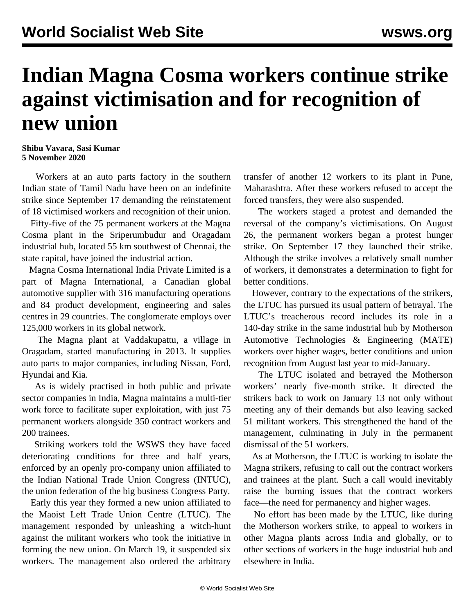## **Indian Magna Cosma workers continue strike against victimisation and for recognition of new union**

## **Shibu Vavara, Sasi Kumar 5 November 2020**

 Workers at an auto parts factory in the southern Indian state of Tamil Nadu have been on an indefinite strike since September 17 demanding the reinstatement of 18 victimised workers and recognition of their union.

 Fifty-five of the 75 permanent workers at the Magna Cosma plant in the Sriperumbudur and Oragadam industrial hub, located 55 km southwest of Chennai, the state capital, have joined the industrial action.

 Magna Cosma International India Private Limited is a part of Magna International, a Canadian global automotive supplier with 316 manufacturing operations and 84 product development, engineering and sales centres in 29 countries. The conglomerate employs over 125,000 workers in its global network.

 The Magna plant at Vaddakupattu, a village in Oragadam, started manufacturing in 2013. It supplies auto parts to major companies, including Nissan, Ford, Hyundai and Kia.

 As is widely practised in both public and private sector companies in India, Magna maintains a multi-tier work force to facilitate super exploitation, with just 75 permanent workers alongside 350 contract workers and 200 trainees.

 Striking workers told the WSWS they have faced deteriorating conditions for three and half years, enforced by an openly pro-company union affiliated to the Indian National Trade Union Congress (INTUC), the union federation of the big business Congress Party.

 Early this year they formed a new union affiliated to the Maoist Left Trade Union Centre (LTUC). The management responded by unleashing a witch-hunt against the militant workers who took the initiative in forming the new union. On March 19, it suspended six workers. The management also ordered the arbitrary

transfer of another 12 workers to its plant in Pune, Maharashtra. After these workers refused to accept the forced transfers, they were also suspended.

 The workers staged a protest and demanded the reversal of the company's victimisations. On August 26, the permanent workers began a protest hunger strike. On September 17 they launched their strike. Although the strike involves a relatively small number of workers, it demonstrates a determination to fight for better conditions.

 However, contrary to the expectations of the strikers, the LTUC has pursued its usual pattern of betrayal. The LTUC's treacherous record includes its role in a 140-day strike in the same industrial hub by Motherson Automotive Technologies & Engineering (MATE) workers over higher wages, better conditions and union recognition from August last year to mid-January.

 The LTUC isolated and betrayed the Motherson workers' nearly five-month strike. It directed the strikers back to work on January 13 not only without meeting any of their demands but also leaving sacked 51 militant workers. This strengthened the hand of the management, culminating in July in the permanent dismissal of the 51 workers.

 As at Motherson, the LTUC is working to isolate the Magna strikers, refusing to call out the contract workers and trainees at the plant. Such a call would inevitably raise the burning issues that the contract workers face—the need for permanency and higher wages.

 No effort has been made by the LTUC, like during the Motherson workers strike, to appeal to workers in other Magna plants across India and globally, or to other sections of workers in the huge industrial hub and elsewhere in India.